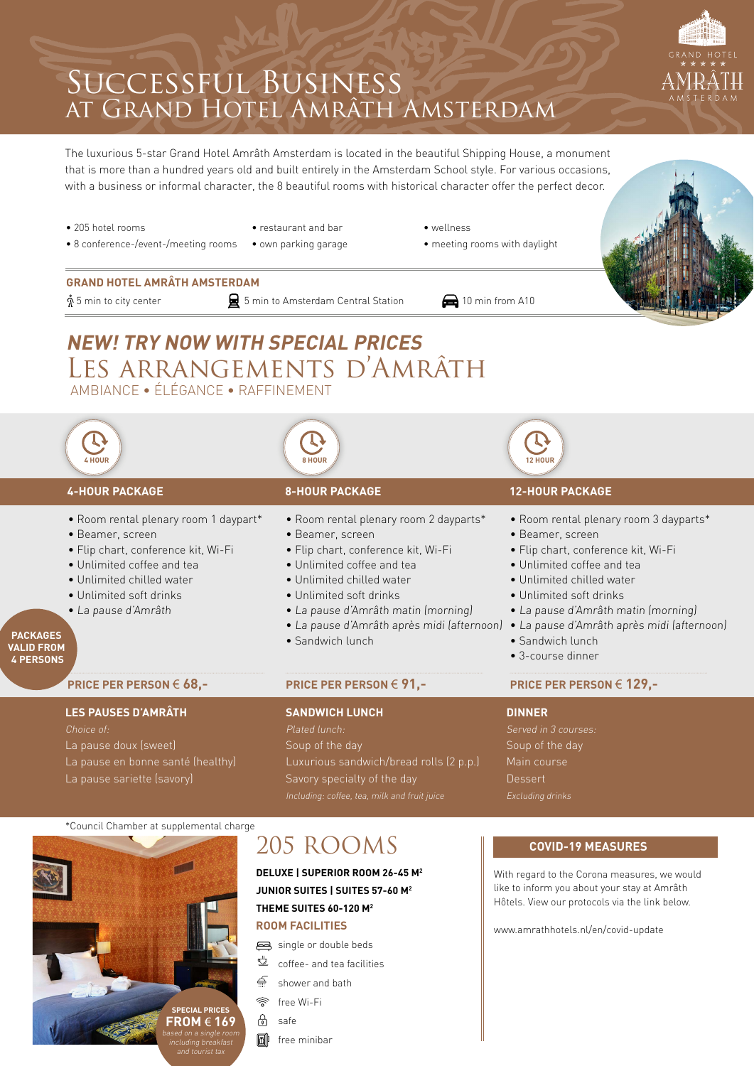## Successful Business at Grand Hotel Amrâth Amsterdam

The luxurious 5-star Grand Hotel Amrâth Amsterdam is located in the beautiful Shipping House, a monument that is more than a hundred years old and built entirely in the Amsterdam School style. For various occasions, with a business or informal character, the 8 beautiful rooms with historical character offer the perfect decor.



[www.amrathhotels.nl/en/covid-update](http://www.amrathhotels.nl/en/covid-update)

**ROOM FACILITIES**

single or double beds

- $\stackrel{\text{\tiny def}}{=}$  coffee- and tea facilities
- shower and bath €
- free Wi-Fi
- safe

**SPECIAL PRICES FROM** € **169** based on a single room including breakfast and tourist tax

**M** free minibar